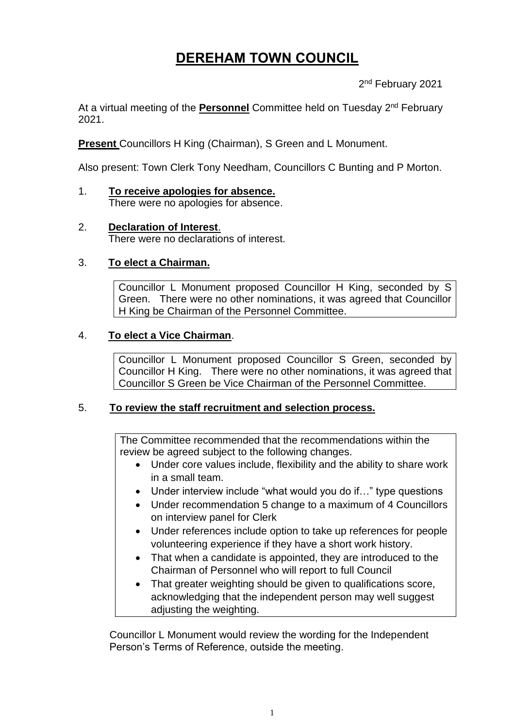# **DEREHAM TOWN COUNCIL**

2<sup>nd</sup> February 2021

At a virtual meeting of the **Personnel** Committee held on Tuesday 2<sup>nd</sup> February 2021.

**Present** Councillors H King (Chairman), S Green and L Monument.

Also present: Town Clerk Tony Needham, Councillors C Bunting and P Morton.

- 1. **To receive apologies for absence.** There were no apologies for absence.
- 2. **Declaration of Interest**. There were no declarations of interest.

## 3. **To elect a Chairman.**

Councillor L Monument proposed Councillor H King, seconded by S Green. There were no other nominations, it was agreed that Councillor H King be Chairman of the Personnel Committee.

#### 4. **To elect a Vice Chairman**.

Councillor L Monument proposed Councillor S Green, seconded by Councillor H King. There were no other nominations, it was agreed that Councillor S Green be Vice Chairman of the Personnel Committee.

#### 5. **To review the staff recruitment and selection process.**

The Committee recommended that the recommendations within the review be agreed subject to the following changes.

- Under core values include, flexibility and the ability to share work in a small team.
- Under interview include "what would you do if..." type questions
- Under recommendation 5 change to a maximum of 4 Councillors on interview panel for Clerk
- Under references include option to take up references for people volunteering experience if they have a short work history.
- That when a candidate is appointed, they are introduced to the Chairman of Personnel who will report to full Council
- That greater weighting should be given to qualifications score, acknowledging that the independent person may well suggest adjusting the weighting.

Councillor L Monument would review the wording for the Independent Person's Terms of Reference, outside the meeting.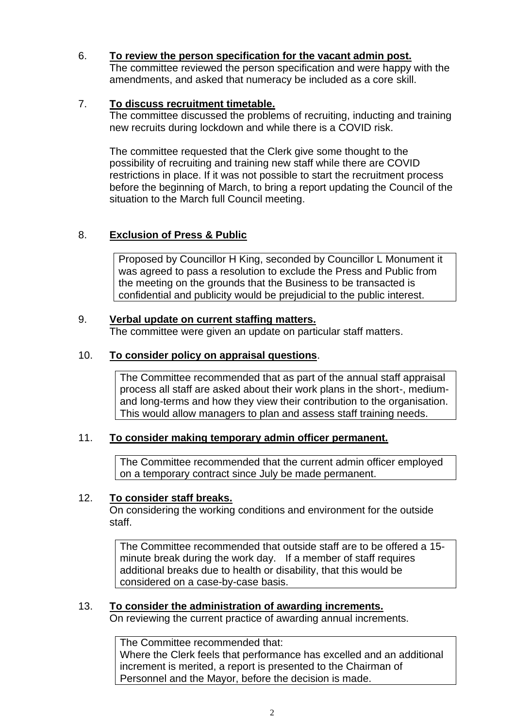### 6. **To review the person specification for the vacant admin post.**

The committee reviewed the person specification and were happy with the amendments, and asked that numeracy be included as a core skill.

## 7. **To discuss recruitment timetable.**

The committee discussed the problems of recruiting, inducting and training new recruits during lockdown and while there is a COVID risk.

The committee requested that the Clerk give some thought to the possibility of recruiting and training new staff while there are COVID restrictions in place. If it was not possible to start the recruitment process before the beginning of March, to bring a report updating the Council of the situation to the March full Council meeting.

## 8. **Exclusion of Press & Public**

Proposed by Councillor H King, seconded by Councillor L Monument it was agreed to pass a resolution to exclude the Press and Public from the meeting on the grounds that the Business to be transacted is confidential and publicity would be prejudicial to the public interest.

#### 9. **Verbal update on current staffing matters.**

The committee were given an update on particular staff matters.

#### 10. **To consider policy on appraisal questions**.

The Committee recommended that as part of the annual staff appraisal process all staff are asked about their work plans in the short-, mediumand long-terms and how they view their contribution to the organisation. This would allow managers to plan and assess staff training needs.

#### 11. **To consider making temporary admin officer permanent.**

The Committee recommended that the current admin officer employed on a temporary contract since July be made permanent.

#### 12. **To consider staff breaks.**

On considering the working conditions and environment for the outside staff.

The Committee recommended that outside staff are to be offered a 15 minute break during the work day. If a member of staff requires additional breaks due to health or disability, that this would be considered on a case-by-case basis.

#### 13. **To consider the administration of awarding increments.**

On reviewing the current practice of awarding annual increments.

The Committee recommended that:

Where the Clerk feels that performance has excelled and an additional increment is merited, a report is presented to the Chairman of Personnel and the Mayor, before the decision is made.